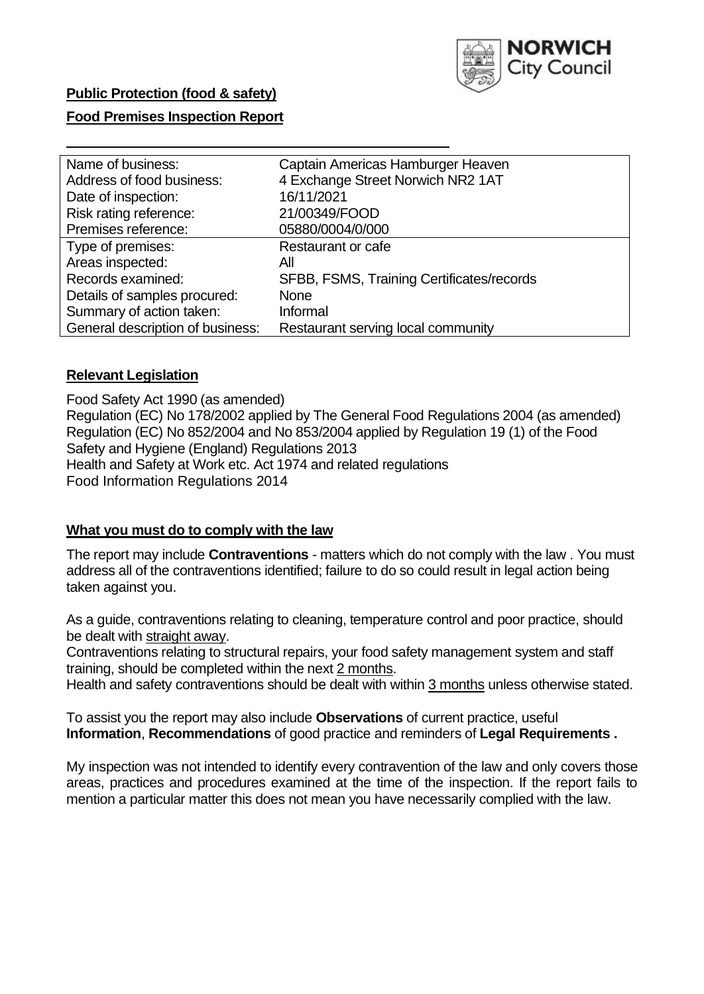

## **Public Protection (food & safety)**

## **Food Premises Inspection Report**

| Name of business:                | Captain Americas Hamburger Heaven         |
|----------------------------------|-------------------------------------------|
| Address of food business:        | 4 Exchange Street Norwich NR2 1AT         |
| Date of inspection:              | 16/11/2021                                |
| Risk rating reference:           | 21/00349/FOOD                             |
| Premises reference:              | 05880/0004/0/000                          |
| Type of premises:                | Restaurant or cafe                        |
| Areas inspected:                 | All                                       |
| Records examined:                | SFBB, FSMS, Training Certificates/records |
| Details of samples procured:     | <b>None</b>                               |
| Summary of action taken:         | Informal                                  |
| General description of business: | Restaurant serving local community        |

## **Relevant Legislation**

 Food Safety Act 1990 (as amended) Regulation (EC) No 178/2002 applied by The General Food Regulations 2004 (as amended) Regulation (EC) No 852/2004 and No 853/2004 applied by Regulation 19 (1) of the Food Safety and Hygiene (England) Regulations 2013 Health and Safety at Work etc. Act 1974 and related regulations Food Information Regulations 2014

## **What you must do to comply with the law**

 The report may include **Contraventions** - matters which do not comply with the law . You must address all of the contraventions identified; failure to do so could result in legal action being taken against you.

 As a guide, contraventions relating to cleaning, temperature control and poor practice, should be dealt with straight away.

 Contraventions relating to structural repairs, your food safety management system and staff training, should be completed within the next 2 months.

Health and safety contraventions should be dealt with within 3 months unless otherwise stated.

 To assist you the report may also include **Observations** of current practice, useful **Information**, **Recommendations** of good practice and reminders of **Legal Requirements .** 

 My inspection was not intended to identify every contravention of the law and only covers those areas, practices and procedures examined at the time of the inspection. If the report fails to mention a particular matter this does not mean you have necessarily complied with the law.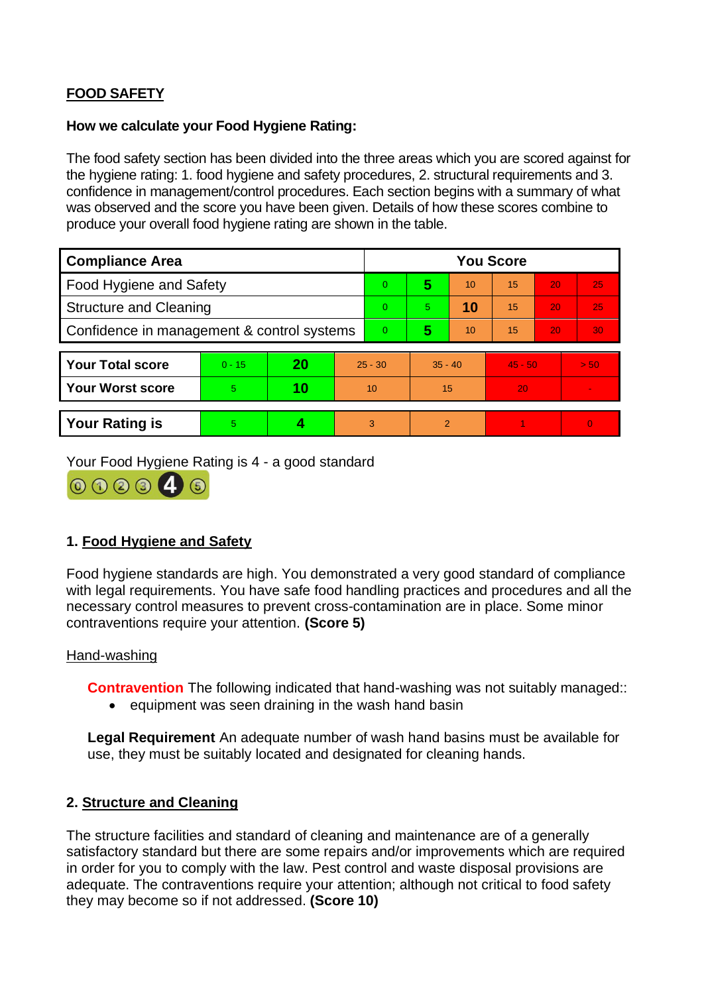# **FOOD SAFETY**

## **How we calculate your Food Hygiene Rating:**

 The food safety section has been divided into the three areas which you are scored against for the hygiene rating: 1. food hygiene and safety procedures, 2. structural requirements and 3. confidence in management/control procedures. Each section begins with a summary of what was observed and the score you have been given. Details of how these scores combine to produce your overall food hygiene rating are shown in the table.

| <b>Compliance Area</b>                     |          |    |                | <b>You Score</b> |                |    |           |    |                |  |  |
|--------------------------------------------|----------|----|----------------|------------------|----------------|----|-----------|----|----------------|--|--|
| Food Hygiene and Safety                    |          |    |                | $\Omega$         | 5              | 10 | 15        | 20 | 25             |  |  |
| <b>Structure and Cleaning</b>              |          |    | $\Omega$       | 5                | 10             | 15 | 20        | 25 |                |  |  |
| Confidence in management & control systems |          |    | $\overline{0}$ | 5                | 10             | 15 | 20        | 30 |                |  |  |
|                                            |          |    |                |                  |                |    |           |    |                |  |  |
| <b>Your Total score</b>                    | $0 - 15$ | 20 | $25 - 30$      |                  | $35 - 40$      |    | $45 - 50$ |    | > 50           |  |  |
| <b>Your Worst score</b>                    | 5        | 10 | 10             |                  | 15             |    | 20        |    | $\blacksquare$ |  |  |
|                                            |          |    |                |                  |                |    |           |    |                |  |  |
| <b>Your Rating is</b>                      | 5        |    |                | 3                | $\overline{2}$ |    |           |    | $\Omega$       |  |  |

Your Food Hygiene Rating is 4 - a good standard



## **1. Food Hygiene and Safety**

 with legal requirements. You have safe food handling practices and procedures and all the Food hygiene standards are high. You demonstrated a very good standard of compliance necessary control measures to prevent cross-contamination are in place. Some minor contraventions require your attention. **(Score 5)** 

## Hand-washing

**Contravention** The following indicated that hand-washing was not suitably managed::

• equipment was seen draining in the wash hand basin

**Legal Requirement** An adequate number of wash hand basins must be available for use, they must be suitably located and designated for cleaning hands.

## **2. Structure and Cleaning**

 satisfactory standard but there are some repairs and/or improvements which are required The structure facilities and standard of cleaning and maintenance are of a generally in order for you to comply with the law. Pest control and waste disposal provisions are adequate. The contraventions require your attention; although not critical to food safety they may become so if not addressed. **(Score 10)**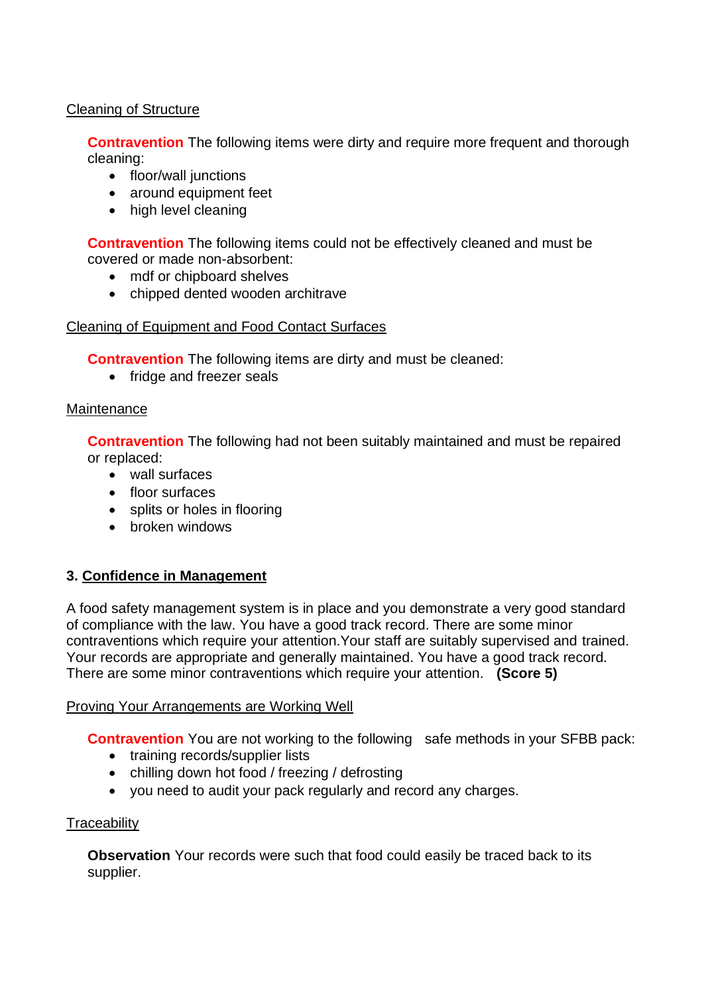## Cleaning of Structure

**Contravention** The following items were dirty and require more frequent and thorough cleaning:

- floor/wall junctions
- around equipment feet
- high level cleaning

**Contravention** The following items could not be effectively cleaned and must be covered or made non-absorbent:

- mdf or chipboard shelves
- chipped dented wooden architrave

## Cleaning of Equipment and Food Contact Surfaces

**Contravention** The following items are dirty and must be cleaned:

• fridge and freezer seals

## **Maintenance**

**Contravention** The following had not been suitably maintained and must be repaired or replaced:

- wall surfaces
- floor surfaces
- splits or holes in flooring
- broken windows

## **3. Confidence in Management**

 of compliance with the law. You have a good track record. There are some minor Your records are appropriate and generally maintained. You have a good track record. A food safety management system is in place and you demonstrate a very good standard contraventions which require your attention.Your staff are suitably supervised and trained. There are some minor contraventions which require your attention. **(Score 5)** 

## Proving Your Arrangements are Working Well

**Contravention** You are not working to the following safe methods in your SFBB pack:

- training records/supplier lists
- chilling down hot food / freezing / defrosting
- you need to audit your pack regularly and record any charges.

## **Traceability**

**Observation** Your records were such that food could easily be traced back to its supplier.